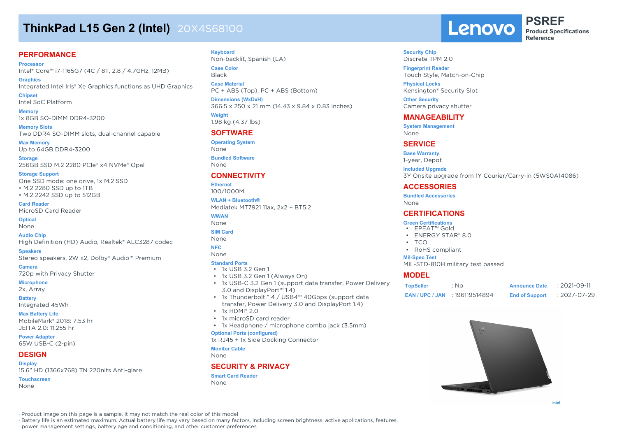# **ThinkPad L15 Gen 2 (Intel)** 20X4S68100

## **PERFORMANCE**

**Processor** Intel® Core™ i7-1165G7 (4C / 8T, 2.8 / 4.7GHz, 12MB)

**Graphics** Integrated Intel Iris® Xe Graphics functions as UHD Graphics **Chipset**

Intel SoC Platform

**Memory** 1x 8GB SO-DIMM DDR4-3200

**Memory Slots** Two DDR4 SO-DIMM slots, dual-channel capable

**Max Memory** Up to 64GB DDR4-3200

**Storage** 256GB SSD M.2 2280 PCIe® x4 NVMe® Opal

**Storage Support** One SSD mode: one drive, 1x M.2 SSD • M.2 2280 SSD up to 1TB • M.2 2242 SSD up to 512GB

**Card Reader** MicroSD Card Reader

**Optical** None

**Audio Chip** High Definition (HD) Audio, Realtek® ALC3287 codec

**Speakers** Stereo speakers, 2W x2, Dolby® Audio™ Premium

**Camera** 720p with Privacy Shutter

**Microphone**

2x, Array

**Battery** Integrated 45Wh

**Max Battery Life**

MobileMark® 2018: 7.53 hr JEITA 2.0: 11.255 hr

**Power Adapter** 65W USB-C (2-pin)

## **DESIGN**

**Display** 15.6" HD (1366x768) TN 220nits Anti-glare

**Touchscreen**

None

**Keyboard**

Non-backlit, Spanish (LA) **Case Color** Black

**Case Material** PC + ABS (Top), PC + ABS (Bottom)

**Dimensions (WxDxH)** 366.5 x 250 x 21 mm (14.43 x 9.84 x 0.83 inches)

**Weight** 1.98 kg (4.37 lbs)

# **SOFTWARE**

**Operating System** None **Bundled Software** None

## **CONNECTIVITY**

**Ethernet** 100/1000M

**WLAN + Bluetooth®** Mediatek MT7921 11ax, 2x2 + BT5.2

## **WWAN**

None

#### **SIM Card**

None

#### **NFC**

None

#### **Standard Ports**

- 1x USB 3.2 Gen 1
- 1x USB 3.2 Gen 1 (Always On)
- 1x USB-C 3.2 Gen 1 (support data transfer, Power Delivery 3.0 and DisplayPort™ 1.4)
- 1x Thunderbolt™ 4 / USB4™ 40Gbps (support data transfer, Power Delivery 3.0 and DisplayPort 1.4)
- $\cdot$  1x HDMI® 2.0
- 1x microSD card reader
- 1x Headphone / microphone combo jack (3.5mm)

#### **Optional Ports (configured)**

1x RJ45 + 1x Side Docking Connector

#### **Monitor Cable**

None

## **SECURITY & PRIVACY**

**Smart Card Reader** None

Lenovo

**PSREF Product Specifications Reference**

#### **Security Chip** Discrete TPM 2.0

**Fingerprint Reader** Touch Style, Match-on-Chip

**Physical Locks** Kensington® Security Slot

**Other Security** Camera privacy shutter

#### **MANAGEABILITY**

**System Management** None

#### **SERVICE**

**Base Warranty** 1-year, Depot

**Included Upgrade**

3Y Onsite upgrade from 1Y Courier/Carry-in (5WS0A14086)

#### **ACCESSORIES**

**Bundled Accessories** None

### **CERTIFICATIONS**

#### **Green Certifications**

- EPEAT™ Gold
- ENERGY STAR® 8.0
- TCO
- RoHS compliant

#### **Mil-Spec Test**

MIL-STD-810H military test passed

## **MODEL**

| <b>TopSeller</b> | : No                                | <b>Announce Date</b>  | $: 2021 - 09 - 11$ |
|------------------|-------------------------------------|-----------------------|--------------------|
|                  | <b>EAN / UPC / JAN 196119514894</b> | <b>End of Support</b> | : 2027-07-29       |



· Product image on this page is a sample, it may not match the real color of this model

· Battery life is an estimated maximum. Actual battery life may vary based on many factors, including screen brightness, active applications, features,

power management settings, battery age and conditioning, and other customer preferences